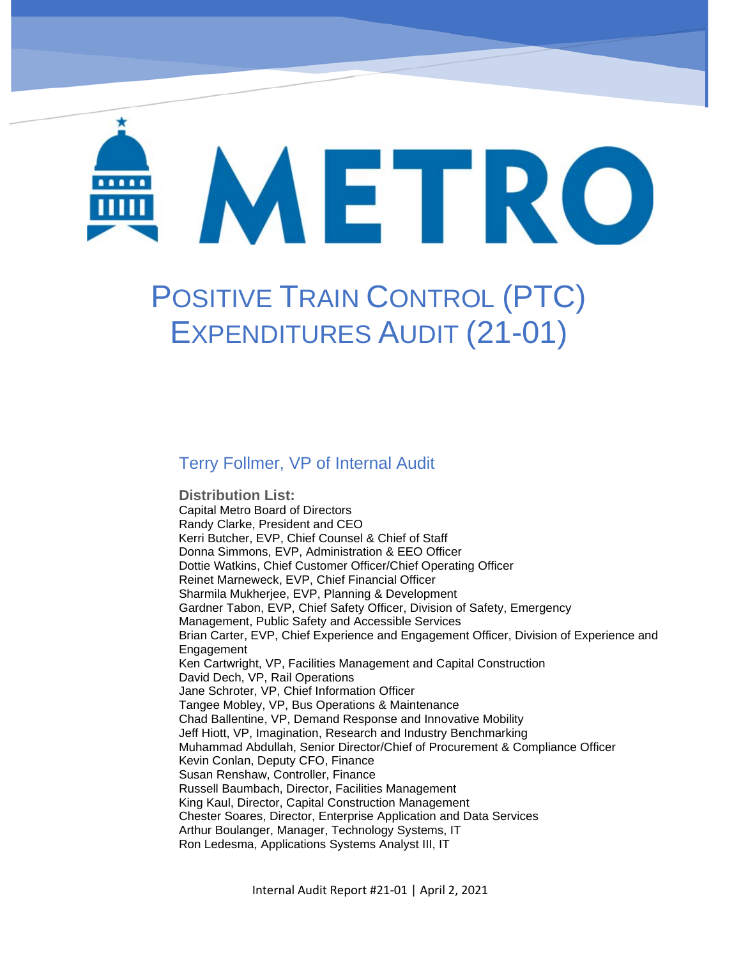# METRO

Positive Train Control (PTC) Expenditures Audit Report # 21-01

Geeetw

# POSITIVE TRAIN CONTROL (PTC) EXPENDITURES AUDIT (21-01)

#### Terry Follmer, VP of Internal Audit

**Distribution List:**  Capital Metro Board of Directors Randy Clarke, President and CEO Kerri Butcher, EVP, Chief Counsel & Chief of Staff Donna Simmons, EVP, Administration & EEO Officer Dottie Watkins, Chief Customer Officer/Chief Operating Officer Reinet Marneweck, EVP, Chief Financial Officer Sharmila Mukherjee, EVP, Planning & Development Gardner Tabon, EVP, Chief Safety Officer, Division of Safety, Emergency Management, Public Safety and Accessible Services Brian Carter, EVP, Chief Experience and Engagement Officer, Division of Experience and Engagement Ken Cartwright, VP, Facilities Management and Capital Construction David Dech, VP, Rail Operations Jane Schroter, VP, Chief Information Officer Tangee Mobley, VP, Bus Operations & Maintenance Chad Ballentine, VP, Demand Response and Innovative Mobility Jeff Hiott, VP, Imagination, Research and Industry Benchmarking Muhammad Abdullah, Senior Director/Chief of Procurement & Compliance Officer Kevin Conlan, Deputy CFO, Finance Susan Renshaw, Controller, Finance Russell Baumbach, Director, Facilities Management King Kaul, Director, Capital Construction Management Chester Soares, Director, Enterprise Application and Data Services Arthur Boulanger, Manager, Technology Systems, IT Ron Ledesma, Applications Systems Analyst III, IT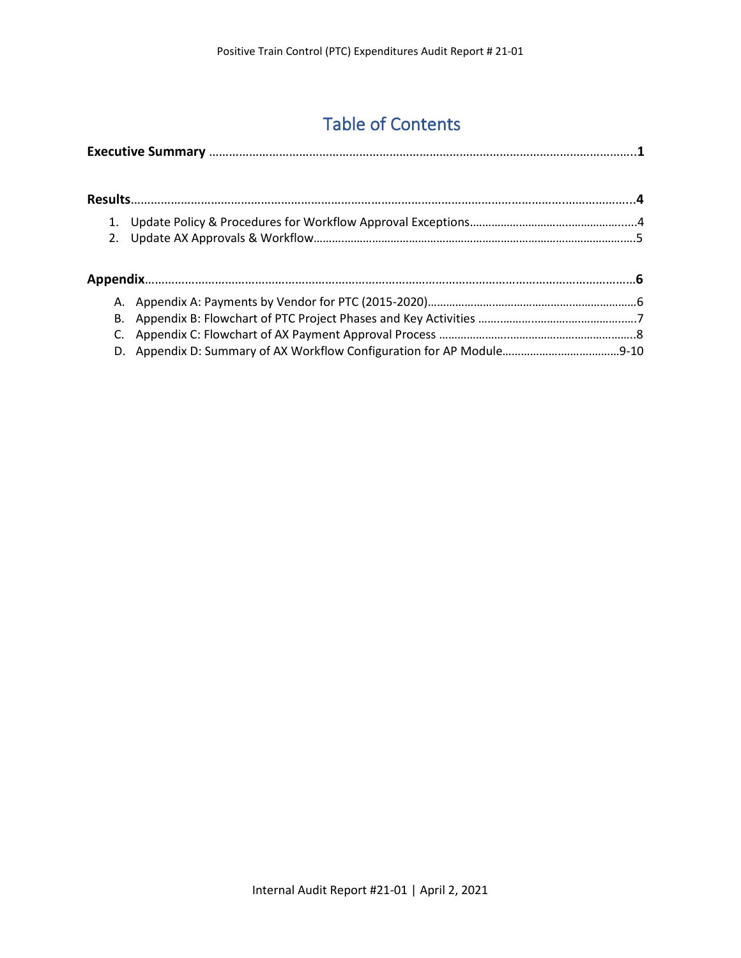# Table of Contents

| А. |  |
|----|--|
| В. |  |
|    |  |
| D. |  |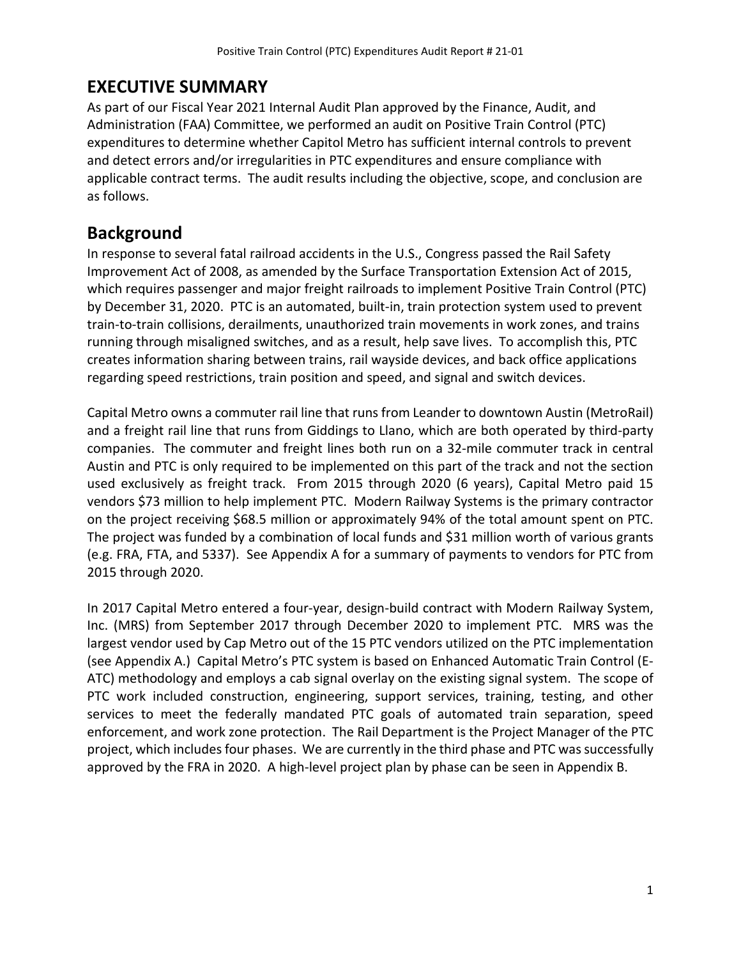### **EXECUTIVE SUMMARY**

As part of our Fiscal Year 2021 Internal Audit Plan approved by the Finance, Audit, and Administration (FAA) Committee, we performed an audit on Positive Train Control (PTC) expenditures to determine whether Capitol Metro has sufficient internal controls to prevent and detect errors and/or irregularities in PTC expenditures and ensure compliance with applicable contract terms. The audit results including the objective, scope, and conclusion are as follows.

#### **Background**

In response to several fatal railroad accidents in the U.S., Congress passed the Rail Safety Improvement Act of 2008, as amended by the Surface Transportation Extension Act of 2015, which requires passenger and major freight railroads to implement Positive Train Control (PTC) by December 31, 2020. PTC is an automated, built-in, train protection system used to prevent train-to-train collisions, derailments, unauthorized train movements in work zones, and trains running through misaligned switches, and as a result, help save lives. To accomplish this, PTC creates information sharing between trains, rail wayside devices, and back office applications regarding speed restrictions, train position and speed, and signal and switch devices.

Capital Metro owns a commuter rail line that runs from Leander to downtown Austin (MetroRail) and a freight rail line that runs from Giddings to Llano, which are both operated by third-party companies. The commuter and freight lines both run on a 32-mile commuter track in central Austin and PTC is only required to be implemented on this part of the track and not the section used exclusively as freight track. From 2015 through 2020 (6 years), Capital Metro paid 15 vendors \$73 million to help implement PTC. Modern Railway Systems is the primary contractor on the project receiving \$68.5 million or approximately 94% of the total amount spent on PTC. The project was funded by a combination of local funds and \$31 million worth of various grants (e.g. FRA, FTA, and 5337). See Appendix A for a summary of payments to vendors for PTC from 2015 through 2020.

In 2017 Capital Metro entered a four-year, design-build contract with Modern Railway System, Inc. (MRS) from September 2017 through December 2020 to implement PTC. MRS was the largest vendor used by Cap Metro out of the 15 PTC vendors utilized on the PTC implementation (see Appendix A.) Capital Metro's PTC system is based on Enhanced Automatic Train Control (E-ATC) methodology and employs a cab signal overlay on the existing signal system. The scope of PTC work included construction, engineering, support services, training, testing, and other services to meet the federally mandated PTC goals of automated train separation, speed enforcement, and work zone protection. The Rail Department is the Project Manager of the PTC project, which includes four phases. We are currently in the third phase and PTC was successfully approved by the FRA in 2020. A high-level project plan by phase can be seen in Appendix B.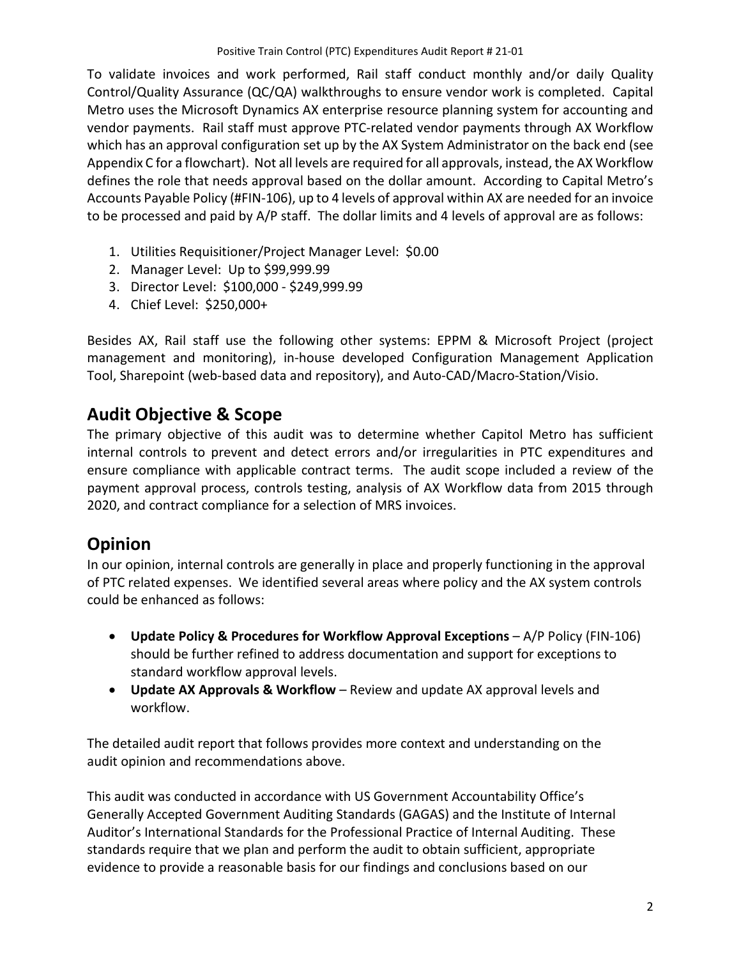To validate invoices and work performed, Rail staff conduct monthly and/or daily Quality Control/Quality Assurance (QC/QA) walkthroughs to ensure vendor work is completed. Capital Metro uses the Microsoft Dynamics AX enterprise resource planning system for accounting and vendor payments. Rail staff must approve PTC-related vendor payments through AX Workflow which has an approval configuration set up by the AX System Administrator on the back end (see Appendix C for a flowchart). Not all levels are required for all approvals, instead, the AX Workflow defines the role that needs approval based on the dollar amount. According to Capital Metro's Accounts Payable Policy (#FIN-106), up to 4 levels of approval within AX are needed for an invoice to be processed and paid by A/P staff. The dollar limits and 4 levels of approval are as follows:

- 1. Utilities Requisitioner/Project Manager Level: \$0.00
- 2. Manager Level: Up to \$99,999.99
- 3. Director Level: \$100,000 \$249,999.99
- 4. Chief Level: \$250,000+

Besides AX, Rail staff use the following other systems: EPPM & Microsoft Project (project management and monitoring), in-house developed Configuration Management Application Tool, Sharepoint (web-based data and repository), and Auto-CAD/Macro-Station/Visio.

#### **Audit Objective & Scope**

The primary objective of this audit was to determine whether Capitol Metro has sufficient internal controls to prevent and detect errors and/or irregularities in PTC expenditures and ensure compliance with applicable contract terms. The audit scope included a review of the payment approval process, controls testing, analysis of AX Workflow data from 2015 through 2020, and contract compliance for a selection of MRS invoices.

## **Opinion**

In our opinion, internal controls are generally in place and properly functioning in the approval of PTC related expenses. We identified several areas where policy and the AX system controls could be enhanced as follows:

- **Update Policy & Procedures for Workflow Approval Exceptions** A/P Policy (FIN-106) should be further refined to address documentation and support for exceptions to standard workflow approval levels.
- **Update AX Approvals & Workflow** Review and update AX approval levels and workflow.

The detailed audit report that follows provides more context and understanding on the audit opinion and recommendations above.

This audit was conducted in accordance with US Government Accountability Office's Generally Accepted Government Auditing Standards (GAGAS) and the Institute of Internal Auditor's International Standards for the Professional Practice of Internal Auditing. These standards require that we plan and perform the audit to obtain sufficient, appropriate evidence to provide a reasonable basis for our findings and conclusions based on our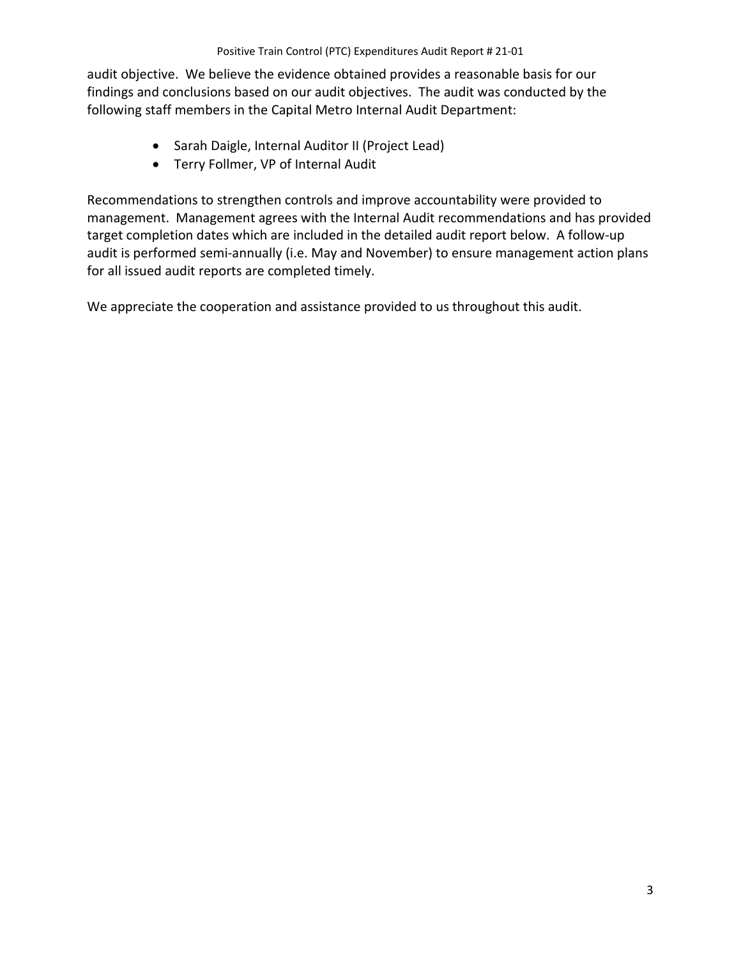audit objective. We believe the evidence obtained provides a reasonable basis for our findings and conclusions based on our audit objectives. The audit was conducted by the following staff members in the Capital Metro Internal Audit Department:

- Sarah Daigle, Internal Auditor II (Project Lead)
- Terry Follmer, VP of Internal Audit

Recommendations to strengthen controls and improve accountability were provided to management. Management agrees with the Internal Audit recommendations and has provided target completion dates which are included in the detailed audit report below. A follow-up audit is performed semi-annually (i.e. May and November) to ensure management action plans for all issued audit reports are completed timely.

We appreciate the cooperation and assistance provided to us throughout this audit.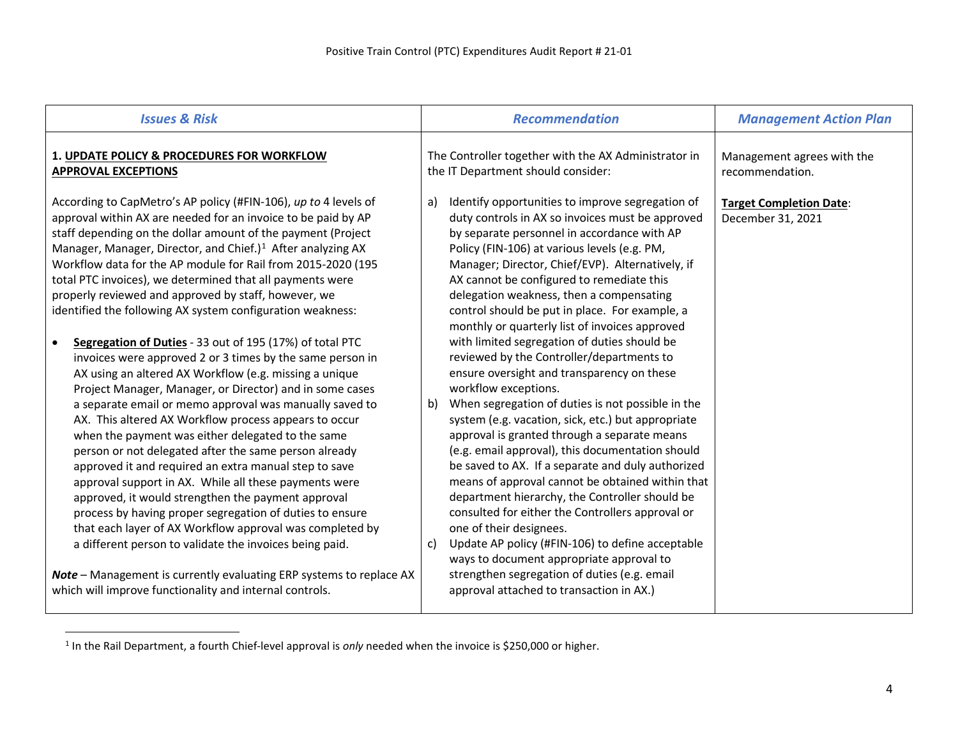<span id="page-5-0"></span>

| <b>Issues &amp; Risk</b>                                                                                                                                                                                                                                                                                                                                                                                                                                                                                                                                                                                                                                                                                                                                                                                                                                                                                                                                                                                                                                                                                                                                                                                                                            | <b>Recommendation</b>                                                                                                                                                                                                                                                                                                                                                                                                                                                                                                                                                                                                                                                                                                                                                                                                                                                                                                                                                                                                                                             | <b>Management Action Plan</b>                       |  |  |  |
|-----------------------------------------------------------------------------------------------------------------------------------------------------------------------------------------------------------------------------------------------------------------------------------------------------------------------------------------------------------------------------------------------------------------------------------------------------------------------------------------------------------------------------------------------------------------------------------------------------------------------------------------------------------------------------------------------------------------------------------------------------------------------------------------------------------------------------------------------------------------------------------------------------------------------------------------------------------------------------------------------------------------------------------------------------------------------------------------------------------------------------------------------------------------------------------------------------------------------------------------------------|-------------------------------------------------------------------------------------------------------------------------------------------------------------------------------------------------------------------------------------------------------------------------------------------------------------------------------------------------------------------------------------------------------------------------------------------------------------------------------------------------------------------------------------------------------------------------------------------------------------------------------------------------------------------------------------------------------------------------------------------------------------------------------------------------------------------------------------------------------------------------------------------------------------------------------------------------------------------------------------------------------------------------------------------------------------------|-----------------------------------------------------|--|--|--|
| 1. UPDATE POLICY & PROCEDURES FOR WORKFLOW<br><b>APPROVAL EXCEPTIONS</b>                                                                                                                                                                                                                                                                                                                                                                                                                                                                                                                                                                                                                                                                                                                                                                                                                                                                                                                                                                                                                                                                                                                                                                            | The Controller together with the AX Administrator in<br>the IT Department should consider:                                                                                                                                                                                                                                                                                                                                                                                                                                                                                                                                                                                                                                                                                                                                                                                                                                                                                                                                                                        | Management agrees with the<br>recommendation.       |  |  |  |
| According to CapMetro's AP policy (#FIN-106), up to 4 levels of<br>approval within AX are needed for an invoice to be paid by AP<br>staff depending on the dollar amount of the payment (Project<br>Manager, Manager, Director, and Chief.) <sup>1</sup> After analyzing AX<br>Workflow data for the AP module for Rail from 2015-2020 (195<br>total PTC invoices), we determined that all payments were<br>properly reviewed and approved by staff, however, we<br>identified the following AX system configuration weakness:<br>Segregation of Duties - 33 out of 195 (17%) of total PTC<br>invoices were approved 2 or 3 times by the same person in<br>AX using an altered AX Workflow (e.g. missing a unique<br>Project Manager, Manager, or Director) and in some cases<br>a separate email or memo approval was manually saved to<br>AX. This altered AX Workflow process appears to occur<br>when the payment was either delegated to the same<br>person or not delegated after the same person already<br>approved it and required an extra manual step to save<br>approval support in AX. While all these payments were<br>approved, it would strengthen the payment approval<br>process by having proper segregation of duties to ensure | Identify opportunities to improve segregation of<br>a)<br>duty controls in AX so invoices must be approved<br>by separate personnel in accordance with AP<br>Policy (FIN-106) at various levels (e.g. PM,<br>Manager; Director, Chief/EVP). Alternatively, if<br>AX cannot be configured to remediate this<br>delegation weakness, then a compensating<br>control should be put in place. For example, a<br>monthly or quarterly list of invoices approved<br>with limited segregation of duties should be<br>reviewed by the Controller/departments to<br>ensure oversight and transparency on these<br>workflow exceptions.<br>When segregation of duties is not possible in the<br>b)<br>system (e.g. vacation, sick, etc.) but appropriate<br>approval is granted through a separate means<br>(e.g. email approval), this documentation should<br>be saved to AX. If a separate and duly authorized<br>means of approval cannot be obtained within that<br>department hierarchy, the Controller should be<br>consulted for either the Controllers approval or | <b>Target Completion Date:</b><br>December 31, 2021 |  |  |  |
| that each layer of AX Workflow approval was completed by<br>a different person to validate the invoices being paid.<br>Note - Management is currently evaluating ERP systems to replace AX<br>which will improve functionality and internal controls.                                                                                                                                                                                                                                                                                                                                                                                                                                                                                                                                                                                                                                                                                                                                                                                                                                                                                                                                                                                               | one of their designees.<br>Update AP policy (#FIN-106) to define acceptable<br>c)<br>ways to document appropriate approval to<br>strengthen segregation of duties (e.g. email<br>approval attached to transaction in AX.)                                                                                                                                                                                                                                                                                                                                                                                                                                                                                                                                                                                                                                                                                                                                                                                                                                         |                                                     |  |  |  |

<sup>&</sup>lt;sup>1</sup> In the Rail Department, a fourth Chief-level approval is *only* needed when the invoice is \$250,000 or higher.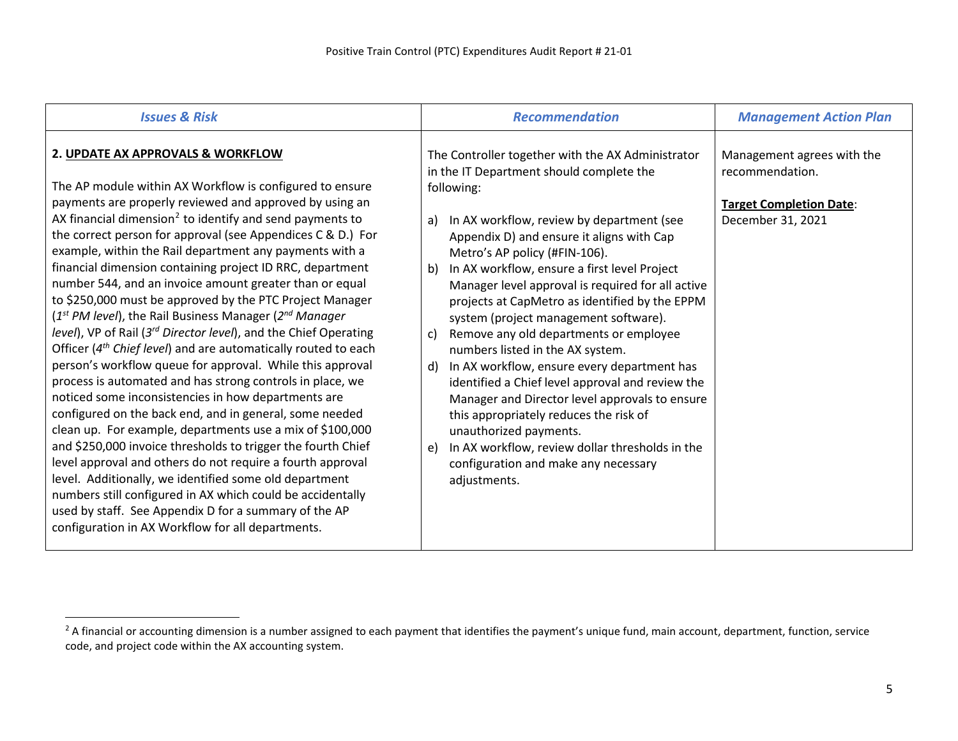<span id="page-6-0"></span>

| <b>Issues &amp; Risk</b>                                                                                                                                                                                                                                                                                                                                                                                                                                                                                                                                                                                                                                                                                                                                                                                                                                                                                                                                                                                                                                                                                                                                                                                                                                                                                                                                                                                                                                  | <b>Recommendation</b>                                                                                                                                                                                                                                                                                                                                                                                                                                                                                                                                                                                                                                                                                                                                                                                                                                                                  | <b>Management Action Plan</b>                                                                        |  |  |
|-----------------------------------------------------------------------------------------------------------------------------------------------------------------------------------------------------------------------------------------------------------------------------------------------------------------------------------------------------------------------------------------------------------------------------------------------------------------------------------------------------------------------------------------------------------------------------------------------------------------------------------------------------------------------------------------------------------------------------------------------------------------------------------------------------------------------------------------------------------------------------------------------------------------------------------------------------------------------------------------------------------------------------------------------------------------------------------------------------------------------------------------------------------------------------------------------------------------------------------------------------------------------------------------------------------------------------------------------------------------------------------------------------------------------------------------------------------|----------------------------------------------------------------------------------------------------------------------------------------------------------------------------------------------------------------------------------------------------------------------------------------------------------------------------------------------------------------------------------------------------------------------------------------------------------------------------------------------------------------------------------------------------------------------------------------------------------------------------------------------------------------------------------------------------------------------------------------------------------------------------------------------------------------------------------------------------------------------------------------|------------------------------------------------------------------------------------------------------|--|--|
| 2. UPDATE AX APPROVALS & WORKFLOW<br>The AP module within AX Workflow is configured to ensure<br>payments are properly reviewed and approved by using an<br>AX financial dimension <sup>2</sup> to identify and send payments to<br>the correct person for approval (see Appendices C & D.) For<br>example, within the Rail department any payments with a<br>financial dimension containing project ID RRC, department<br>number 544, and an invoice amount greater than or equal<br>to \$250,000 must be approved by the PTC Project Manager<br>$(1st PM level)$ , the Rail Business Manager $(2nd Manager)$<br>level), VP of Rail (3 <sup>rd</sup> Director level), and the Chief Operating<br>Officer (4 <sup>th</sup> Chief level) and are automatically routed to each<br>person's workflow queue for approval. While this approval<br>process is automated and has strong controls in place, we<br>noticed some inconsistencies in how departments are<br>configured on the back end, and in general, some needed<br>clean up. For example, departments use a mix of \$100,000<br>and \$250,000 invoice thresholds to trigger the fourth Chief<br>level approval and others do not require a fourth approval<br>level. Additionally, we identified some old department<br>numbers still configured in AX which could be accidentally<br>used by staff. See Appendix D for a summary of the AP<br>configuration in AX Workflow for all departments. | The Controller together with the AX Administrator<br>in the IT Department should complete the<br>following:<br>In AX workflow, review by department (see<br>a)<br>Appendix D) and ensure it aligns with Cap<br>Metro's AP policy (#FIN-106).<br>In AX workflow, ensure a first level Project<br>b)<br>Manager level approval is required for all active<br>projects at CapMetro as identified by the EPPM<br>system (project management software).<br>Remove any old departments or employee<br>c)<br>numbers listed in the AX system.<br>In AX workflow, ensure every department has<br>d)<br>identified a Chief level approval and review the<br>Manager and Director level approvals to ensure<br>this appropriately reduces the risk of<br>unauthorized payments.<br>In AX workflow, review dollar thresholds in the<br>e)<br>configuration and make any necessary<br>adjustments. | Management agrees with the<br>recommendation.<br><b>Target Completion Date:</b><br>December 31, 2021 |  |  |

<sup>&</sup>lt;sup>2</sup> A financial or accounting dimension is a number assigned to each payment that identifies the payment's unique fund, main account, department, function, service code, and project code within the AX accounting system.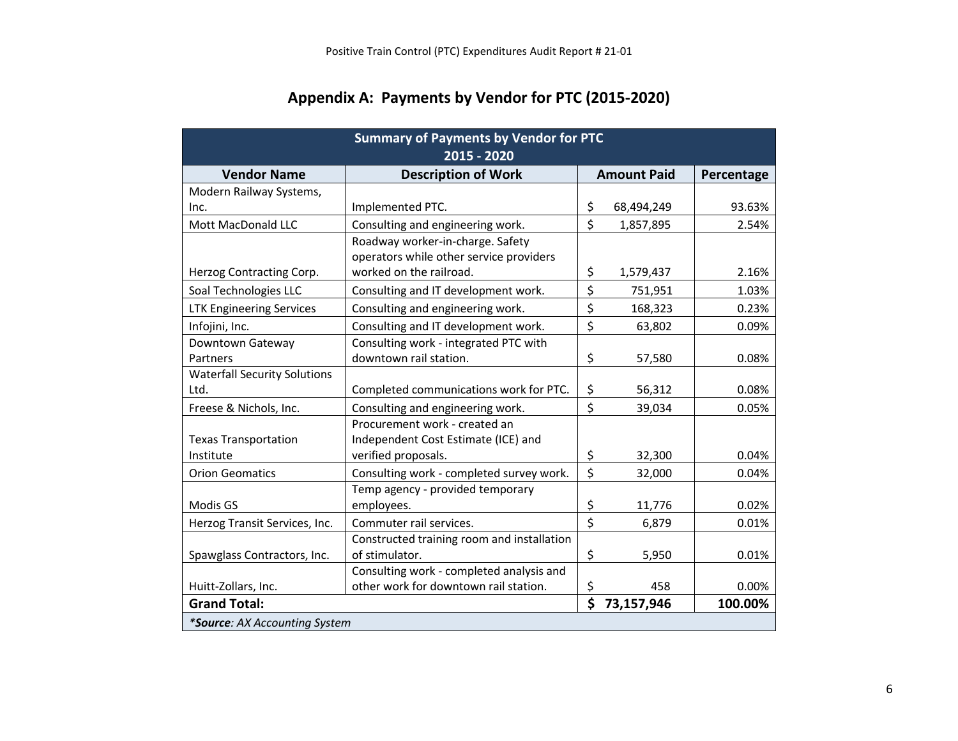| <b>Summary of Payments by Vendor for PTC</b><br>2015 - 2020 |                                            |    |                    |            |  |  |  |  |
|-------------------------------------------------------------|--------------------------------------------|----|--------------------|------------|--|--|--|--|
| <b>Vendor Name</b>                                          | <b>Description of Work</b>                 |    | <b>Amount Paid</b> | Percentage |  |  |  |  |
| Modern Railway Systems,                                     |                                            |    |                    |            |  |  |  |  |
| Inc.                                                        | Implemented PTC.                           | \$ | 68,494,249         | 93.63%     |  |  |  |  |
| Mott MacDonald LLC                                          | Consulting and engineering work.           | \$ | 1,857,895          | 2.54%      |  |  |  |  |
|                                                             | Roadway worker-in-charge. Safety           |    |                    |            |  |  |  |  |
|                                                             | operators while other service providers    |    |                    |            |  |  |  |  |
| Herzog Contracting Corp.                                    | worked on the railroad.                    | \$ | 1,579,437          | 2.16%      |  |  |  |  |
| Soal Technologies LLC                                       | Consulting and IT development work.        | \$ | 751,951            | 1.03%      |  |  |  |  |
| <b>LTK Engineering Services</b>                             | Consulting and engineering work.           | \$ | 168,323            | 0.23%      |  |  |  |  |
| Infojini, Inc.                                              | Consulting and IT development work.        | \$ | 63,802             | 0.09%      |  |  |  |  |
| Downtown Gateway                                            | Consulting work - integrated PTC with      |    |                    |            |  |  |  |  |
| Partners                                                    | downtown rail station.                     | \$ | 57,580             | 0.08%      |  |  |  |  |
| <b>Waterfall Security Solutions</b>                         |                                            |    |                    |            |  |  |  |  |
| Ltd.                                                        | Completed communications work for PTC.     | \$ | 56,312             | 0.08%      |  |  |  |  |
| Freese & Nichols, Inc.                                      | Consulting and engineering work.           | \$ | 39,034             | 0.05%      |  |  |  |  |
|                                                             | Procurement work - created an              |    |                    |            |  |  |  |  |
| <b>Texas Transportation</b>                                 | Independent Cost Estimate (ICE) and        |    |                    |            |  |  |  |  |
| Institute                                                   | verified proposals.                        | \$ | 32,300             | 0.04%      |  |  |  |  |
| <b>Orion Geomatics</b>                                      | Consulting work - completed survey work.   | \$ | 32,000             | 0.04%      |  |  |  |  |
|                                                             | Temp agency - provided temporary           |    |                    |            |  |  |  |  |
| Modis GS                                                    | employees.                                 | \$ | 11,776             | 0.02%      |  |  |  |  |
| Herzog Transit Services, Inc.                               | Commuter rail services.                    | \$ | 6,879              | 0.01%      |  |  |  |  |
|                                                             | Constructed training room and installation |    |                    |            |  |  |  |  |
| Spawglass Contractors, Inc.                                 | of stimulator.                             | \$ | 5,950              | 0.01%      |  |  |  |  |
|                                                             | Consulting work - completed analysis and   |    |                    |            |  |  |  |  |
| Huitt-Zollars, Inc.                                         | other work for downtown rail station.      | \$ | 458                | 0.00%      |  |  |  |  |
| <b>Grand Total:</b>                                         |                                            | \$ | 73,157,946         | 100.00%    |  |  |  |  |
| *Source: AX Accounting System                               |                                            |    |                    |            |  |  |  |  |

# **Appendix A: Payments by Vendor for PTC (2015-2020)**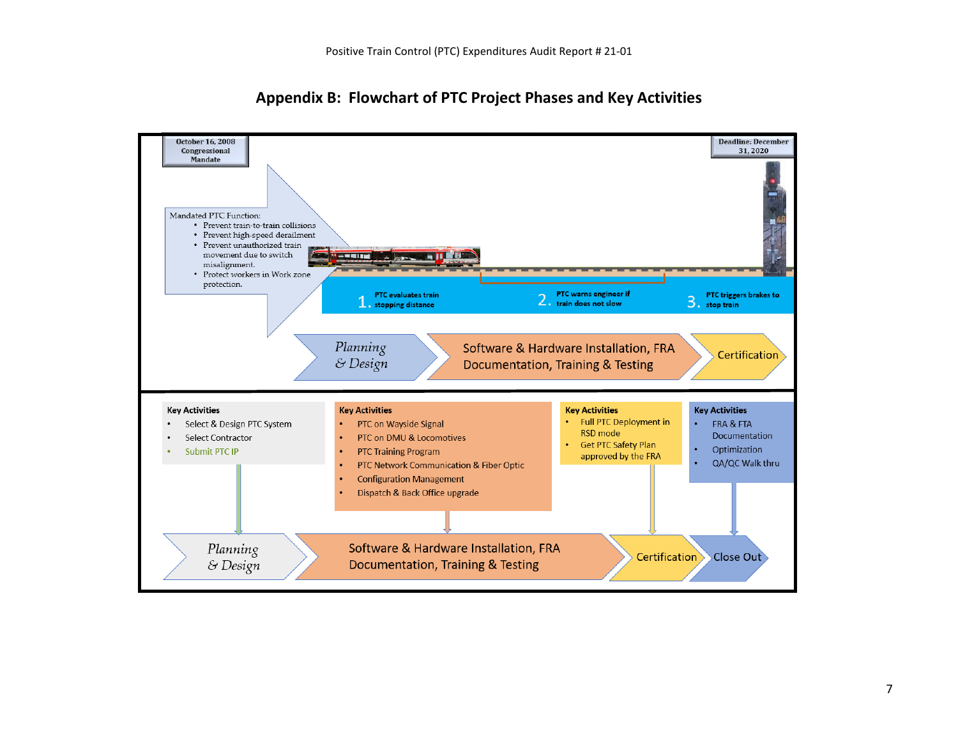

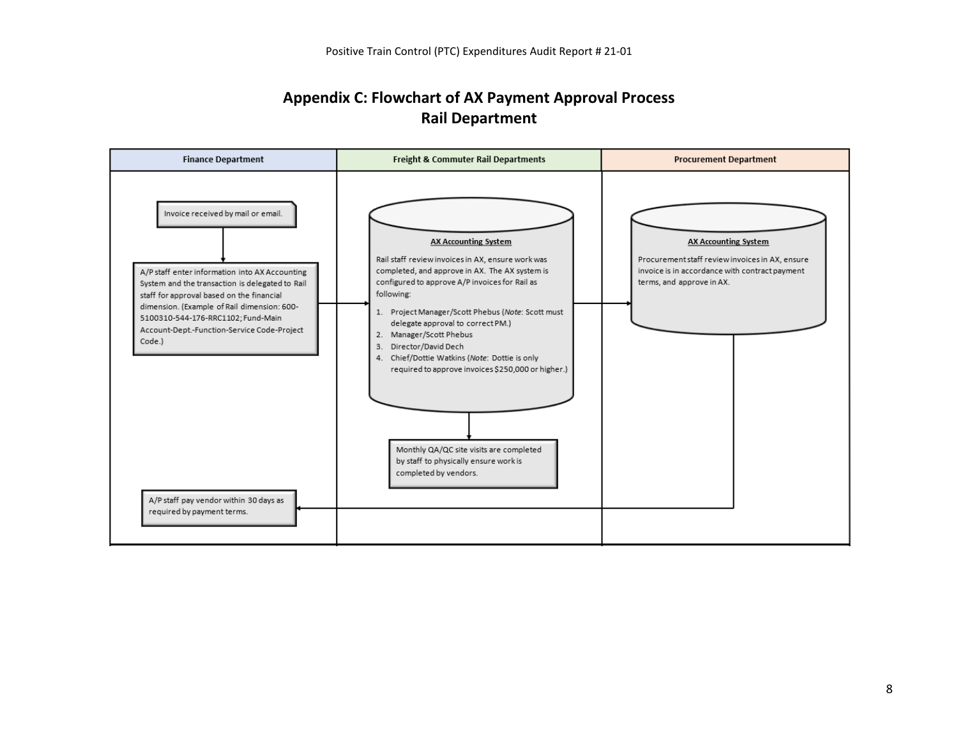#### **Appendix C: Flowchart of AX Payment Approval Process Rail Department**

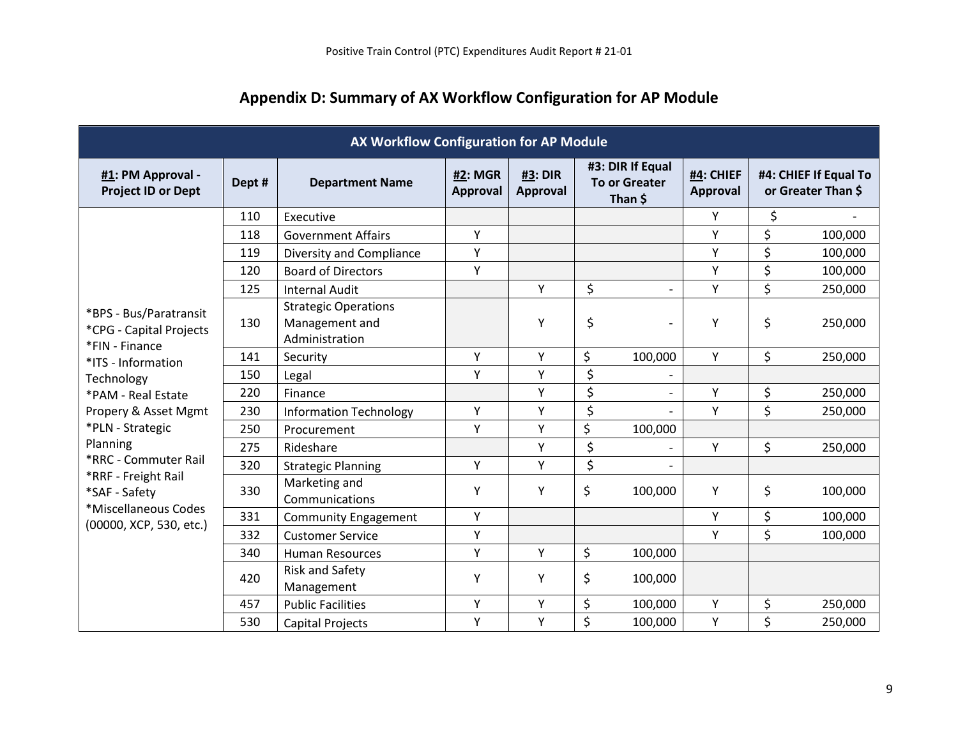| AX Workflow Configuration for AP Module                             |        |                                                                 |                            |                     |                                                     |                          |                              |                                             |         |
|---------------------------------------------------------------------|--------|-----------------------------------------------------------------|----------------------------|---------------------|-----------------------------------------------------|--------------------------|------------------------------|---------------------------------------------|---------|
| #1: PM Approval -<br><b>Project ID or Dept</b>                      | Dept # | <b>Department Name</b>                                          | <b>#2: MGR</b><br>Approval | #3: DIR<br>Approval | #3: DIR If Equal<br><b>To or Greater</b><br>Than \$ |                          | #4: CHIEF<br><b>Approval</b> | #4: CHIEF If Equal To<br>or Greater Than \$ |         |
|                                                                     | 110    | Executive                                                       |                            |                     |                                                     |                          | Y                            | \$                                          |         |
|                                                                     | 118    | <b>Government Affairs</b>                                       | Y                          |                     |                                                     |                          | Y                            | \$                                          | 100,000 |
|                                                                     | 119    | Diversity and Compliance                                        | Υ                          |                     |                                                     |                          | Υ                            | \$                                          | 100,000 |
|                                                                     | 120    | <b>Board of Directors</b>                                       | Υ                          |                     |                                                     |                          | Υ                            | \$                                          | 100,000 |
|                                                                     | 125    | <b>Internal Audit</b>                                           |                            | Y                   | \$                                                  | $\overline{\phantom{a}}$ | Y                            | \$                                          | 250,000 |
| *BPS - Bus/Paratransit<br>*CPG - Capital Projects<br>*FIN - Finance | 130    | <b>Strategic Operations</b><br>Management and<br>Administration |                            | Υ                   | \$                                                  |                          | Υ                            | \$                                          | 250,000 |
| *ITS - Information                                                  | 141    | Security                                                        | Y                          | Y                   | \$                                                  | 100,000                  | Y                            | \$                                          | 250,000 |
| Technology                                                          | 150    | Legal                                                           | Y                          | Y                   | \$                                                  |                          |                              |                                             |         |
| *PAM - Real Estate                                                  | 220    | Finance                                                         |                            | Y                   | \$                                                  |                          | Υ                            | \$                                          | 250,000 |
| Propery & Asset Mgmt                                                | 230    | <b>Information Technology</b>                                   | Y                          | Y                   | \$                                                  |                          | Y                            | \$                                          | 250,000 |
| *PLN - Strategic                                                    | 250    | Procurement                                                     | Y                          | Y                   | \$                                                  | 100,000                  |                              |                                             |         |
| Planning                                                            | 275    | Rideshare                                                       |                            | Y                   | \$                                                  |                          | Y                            | \$                                          | 250,000 |
| *RRC - Commuter Rail                                                | 320    | <b>Strategic Planning</b>                                       | Y                          | Y                   | \$                                                  |                          |                              |                                             |         |
| *RRF - Freight Rail<br>*SAF - Safety                                | 330    | Marketing and<br>Communications                                 | Y                          | Y                   | \$                                                  | 100,000                  | Y                            | \$                                          | 100,000 |
| *Miscellaneous Codes<br>(00000, XCP, 530, etc.)                     | 331    | <b>Community Engagement</b>                                     | Y                          |                     |                                                     |                          | Υ                            | \$                                          | 100,000 |
|                                                                     | 332    | <b>Customer Service</b>                                         | Y                          |                     |                                                     |                          | Y                            | \$                                          | 100,000 |
|                                                                     | 340    | <b>Human Resources</b>                                          | Y                          | Y                   | \$                                                  | 100,000                  |                              |                                             |         |
|                                                                     | 420    | <b>Risk and Safety</b><br>Management                            | Y                          | Y                   | \$                                                  | 100,000                  |                              |                                             |         |
|                                                                     | 457    | <b>Public Facilities</b>                                        | Y                          | Υ                   | \$                                                  | 100,000                  | Y                            | \$                                          | 250,000 |
|                                                                     | 530    | <b>Capital Projects</b>                                         | Υ                          | Υ                   | \$                                                  | 100,000                  | Y                            | \$                                          | 250,000 |

# **Appendix D: Summary of AX Workflow Configuration for AP Module**